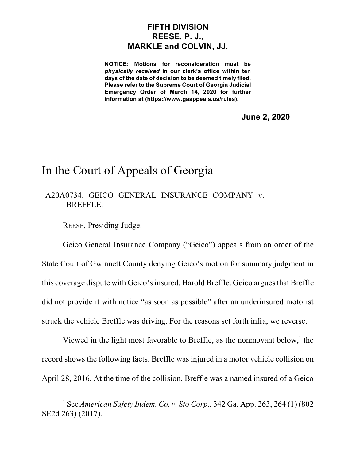## **FIFTH DIVISION REESE, P. J., MARKLE and COLVIN, JJ.**

**NOTICE: Motions for reconsideration must be** *physically received* **in our clerk's office within ten days of the date of decision to be deemed timely filed. Please refer to the Supreme Court of Georgia Judicial Emergency Order of March 14, 2020 for further information at (https://www.gaappeals.us/rules).**

**June 2, 2020**

## In the Court of Appeals of Georgia

## A20A0734. GEICO GENERAL INSURANCE COMPANY v. BREFFLE.

REESE, Presiding Judge.

Geico General Insurance Company ("Geico") appeals from an order of the State Court of Gwinnett County denying Geico's motion for summary judgment in this coverage dispute with Geico's insured, Harold Breffle. Geico argues that Breffle did not provide it with notice "as soon as possible" after an underinsured motorist struck the vehicle Breffle was driving. For the reasons set forth infra, we reverse.

Viewed in the light most favorable to Breffle, as the nonmovant below, $<sup>1</sup>$  the</sup> record shows the following facts. Breffle was injured in a motor vehicle collision on April 28, 2016. At the time of the collision, Breffle was a named insured of a Geico

<sup>1</sup> See *American Safety Indem. Co. v. Sto Corp.*, 342 Ga. App. 263, 264 (1) (802 SE2d 263) (2017).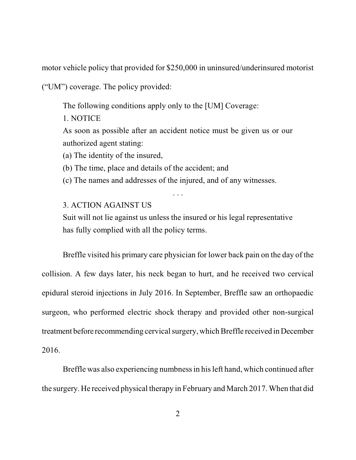motor vehicle policy that provided for \$250,000 in uninsured/underinsured motorist

("UM") coverage. The policy provided:

The following conditions apply only to the [UM] Coverage:

1. NOTICE

As soon as possible after an accident notice must be given us or our authorized agent stating:

(a) The identity of the insured,

(b) The time, place and details of the accident; and

(c) The names and addresses of the injured, and of any witnesses.

. . .

## 3. ACTION AGAINST US

Suit will not lie against us unless the insured or his legal representative has fully complied with all the policy terms.

Breffle visited his primary care physician for lower back pain on the day of the collision. A few days later, his neck began to hurt, and he received two cervical epidural steroid injections in July 2016. In September, Breffle saw an orthopaedic surgeon, who performed electric shock therapy and provided other non-surgical treatment before recommending cervical surgery, which Breffle received in December 2016.

Breffle was also experiencing numbness in his left hand, which continued after the surgery. He received physical therapy in February and March 2017. When that did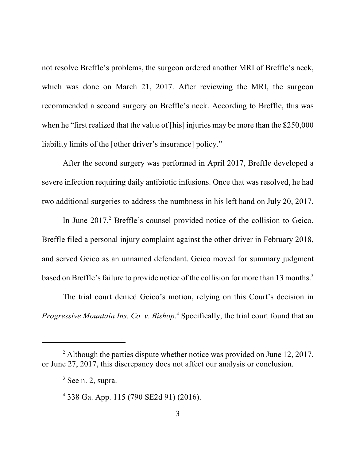not resolve Breffle's problems, the surgeon ordered another MRI of Breffle's neck, which was done on March 21, 2017. After reviewing the MRI, the surgeon recommended a second surgery on Breffle's neck. According to Breffle, this was when he "first realized that the value of [his] injuries may be more than the \$250,000 liability limits of the [other driver's insurance] policy."

After the second surgery was performed in April 2017, Breffle developed a severe infection requiring daily antibiotic infusions. Once that was resolved, he had two additional surgeries to address the numbness in his left hand on July 20, 2017.

In June 2017, <sup>2</sup> Breffle's counsel provided notice of the collision to Geico. Breffle filed a personal injury complaint against the other driver in February 2018, and served Geico as an unnamed defendant. Geico moved for summary judgment based on Breffle's failure to provide notice of the collision for more than 13 months.<sup>3</sup>

The trial court denied Geico's motion, relying on this Court's decision in *Progressive Mountain Ins. Co. v. Bishop*. <sup>4</sup> Specifically, the trial court found that an

<sup>&</sup>lt;sup>2</sup> Although the parties dispute whether notice was provided on June 12, 2017, or June 27, 2017, this discrepancy does not affect our analysis or conclusion.

 $3$  See n. 2, supra.

<sup>4</sup> 338 Ga. App. 115 (790 SE2d 91) (2016).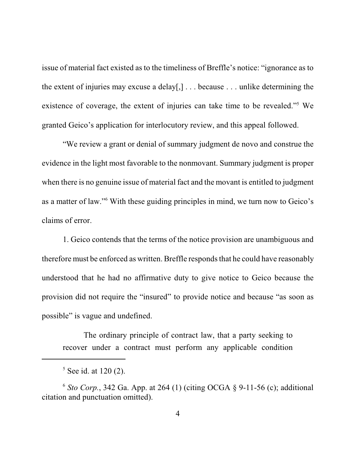issue of material fact existed as to the timeliness of Breffle's notice: "ignorance as to the extent of injuries may excuse a delay[,] . . . because . . . unlike determining the existence of coverage, the extent of injuries can take time to be revealed."<sup>5</sup> We granted Geico's application for interlocutory review, and this appeal followed.

"We review a grant or denial of summary judgment de novo and construe the evidence in the light most favorable to the nonmovant. Summary judgment is proper when there is no genuine issue of material fact and the movant is entitled to judgment as a matter of law."<sup>6</sup> With these guiding principles in mind, we turn now to Geico's claims of error.

1. Geico contends that the terms of the notice provision are unambiguous and therefore must be enforced as written. Breffle responds that he could have reasonably understood that he had no affirmative duty to give notice to Geico because the provision did not require the "insured" to provide notice and because "as soon as possible" is vague and undefined.

The ordinary principle of contract law, that a party seeking to recover under a contract must perform any applicable condition

<sup>&</sup>lt;sup>5</sup> See id. at 120 (2).

<sup>6</sup> *Sto Corp.*, 342 Ga. App. at 264 (1) (citing OCGA § 9-11-56 (c); additional citation and punctuation omitted).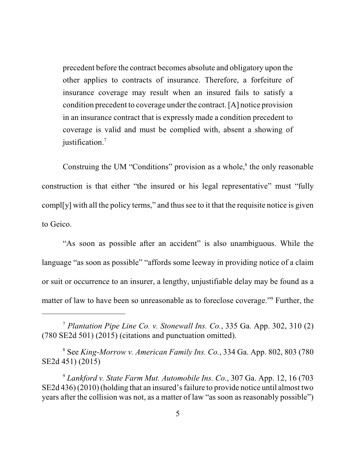precedent before the contract becomes absolute and obligatory upon the other applies to contracts of insurance. Therefore, a forfeiture of insurance coverage may result when an insured fails to satisfy a condition precedent to coverage under the contract. [A] notice provision in an insurance contract that is expressly made a condition precedent to coverage is valid and must be complied with, absent a showing of justification. 7

Construing the UM "Conditions" provision as a whole,<sup>8</sup> the only reasonable construction is that either "the insured or his legal representative" must "fully compl[y] with all the policy terms," and thus see to it that the requisite notice is given to Geico.

"As soon as possible after an accident" is also unambiguous. While the language "as soon as possible" "affords some leeway in providing notice of a claim or suit or occurrence to an insurer, a lengthy, unjustifiable delay may be found as a matter of law to have been so unreasonable as to foreclose coverage."<sup>9</sup> Further, the

<sup>8</sup> See *King-Morrow v. American Family Ins. Co.*, 334 Ga. App. 802, 803 (780 SE2d 451) (2015)

<sup>7</sup> *Plantation Pipe Line Co. v. Stonewall Ins. Co.*, 335 Ga. App. 302, 310 (2) (780 SE2d 501) (2015) (citations and punctuation omitted).

<sup>9</sup> *Lankford v. State Farm Mut. Automobile Ins. Co.*, 307 Ga. App. 12, 16 (703  $SE2d436$  (2010) (holding that an insured's failure to provide notice until almost two years after the collision was not, as a matter of law "as soon as reasonably possible")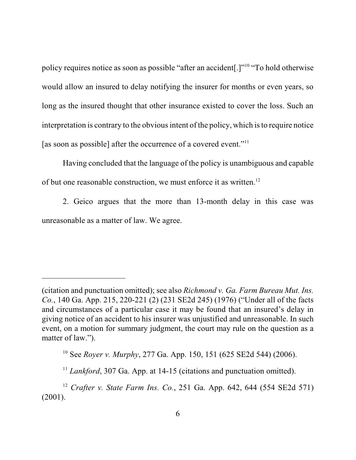policy requires notice as soon as possible "after an accident[.]"<sup>10</sup> "To hold otherwise would allow an insured to delay notifying the insurer for months or even years, so long as the insured thought that other insurance existed to cover the loss. Such an interpretation is contrary to the obvious intent of the policy, which is to require notice [as soon as possible] after the occurrence of a covered event."<sup>11</sup>

Having concluded that the language of the policy is unambiguous and capable of but one reasonable construction, we must enforce it as written.<sup>12</sup>

2. Geico argues that the more than 13-month delay in this case was unreasonable as a matter of law. We agree.

<sup>(</sup>citation and punctuation omitted); see also *Richmond v. Ga. Farm Bureau Mut. Ins. Co.*, 140 Ga. App. 215, 220-221 (2) (231 SE2d 245) (1976) ("Under all of the facts and circumstances of a particular case it may be found that an insured's delay in giving notice of an accident to his insurer was unjustified and unreasonable. In such event, on a motion for summary judgment, the court may rule on the question as a matter of law.").

<sup>10</sup> See *Royer v. Murphy*, 277 Ga. App. 150, 151 (625 SE2d 544) (2006).

<sup>&</sup>lt;sup>11</sup> *Lankford*, 307 Ga. App. at 14-15 (citations and punctuation omitted).

<sup>12</sup> *Crafter v. State Farm Ins. Co.*, 251 Ga. App. 642, 644 (554 SE2d 571) (2001).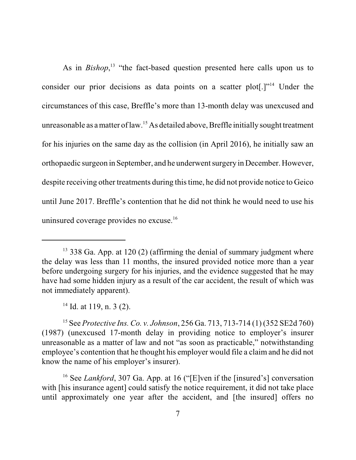As in *Bishop*,<sup>13</sup> "the fact-based question presented here calls upon us to consider our prior decisions as data points on a scatter plot[.]"<sup>14</sup> Under the circumstances of this case, Breffle's more than 13-month delay was unexcused and unreasonable as a matter of law.<sup>15</sup> As detailed above, Breffle initially sought treatment for his injuries on the same day as the collision (in April 2016), he initially saw an orthopaedic surgeon in September, and he underwent surgery in December. However, despite receiving other treatments during this time, he did not provide notice to Geico until June 2017. Breffle's contention that he did not think he would need to use his uninsured coverage provides no excuse.<sup>16</sup>

 $13$  338 Ga. App. at 120 (2) (affirming the denial of summary judgment where the delay was less than 11 months, the insured provided notice more than a year before undergoing surgery for his injuries, and the evidence suggested that he may have had some hidden injury as a result of the car accident, the result of which was not immediately apparent).

 $14$  Id. at 119, n. 3 (2).

<sup>15</sup> See *Protective Ins. Co. v. Johnson*, 256 Ga. 713, 713-714 (1) (352 SE2d 760) (1987) (unexcused 17-month delay in providing notice to employer's insurer unreasonable as a matter of law and not "as soon as practicable," notwithstanding employee's contention that he thought his employer would file a claim and he did not know the name of his employer's insurer).

<sup>&</sup>lt;sup>16</sup> See *Lankford*, 307 Ga. App. at 16 ("[E]ven if the [insured's] conversation with [his insurance agent] could satisfy the notice requirement, it did not take place until approximately one year after the accident, and [the insured] offers no